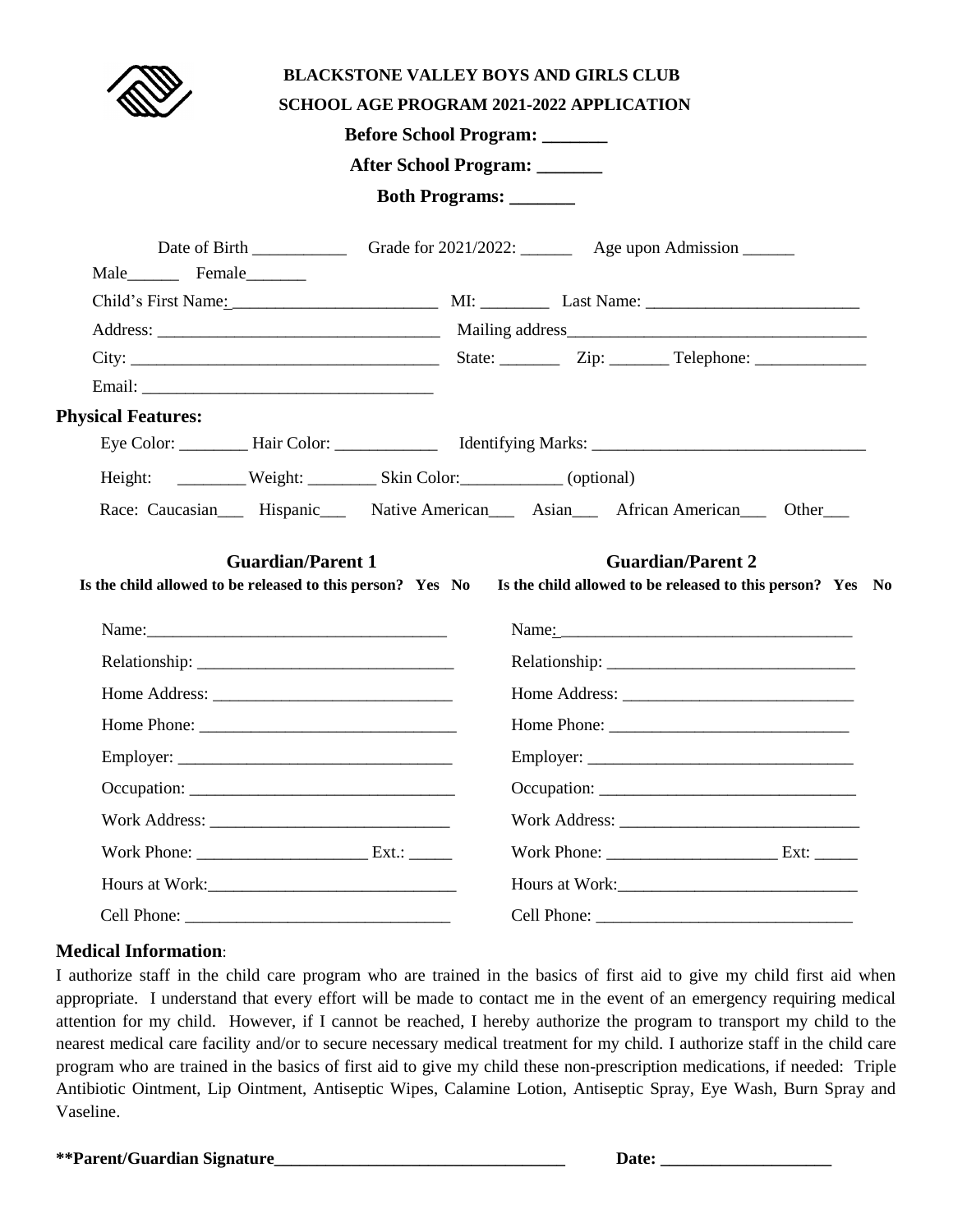|                           | <b>BLACKSTONE VALLEY BOYS AND GIRLS CLUB</b><br><b>SCHOOL AGE PROGRAM 2021-2022 APPLICATION</b><br>Before School Program: ______<br>After School Program:<br>Both Programs: _______ |
|---------------------------|-------------------------------------------------------------------------------------------------------------------------------------------------------------------------------------|
| Male Female               |                                                                                                                                                                                     |
|                           |                                                                                                                                                                                     |
|                           |                                                                                                                                                                                     |
|                           |                                                                                                                                                                                     |
|                           |                                                                                                                                                                                     |
| <b>Physical Features:</b> |                                                                                                                                                                                     |
|                           |                                                                                                                                                                                     |
|                           |                                                                                                                                                                                     |
|                           | Race: Caucasian Hispanic Native American Asian African American Other                                                                                                               |
| <b>Guardian/Parent 1</b>  | <b>Guardian/Parent 2</b><br>Is the child allowed to be released to this person? Yes No Is the child allowed to be released to this person? Yes No                                   |
|                           |                                                                                                                                                                                     |
|                           |                                                                                                                                                                                     |
|                           |                                                                                                                                                                                     |
|                           |                                                                                                                                                                                     |
|                           |                                                                                                                                                                                     |
|                           |                                                                                                                                                                                     |
|                           |                                                                                                                                                                                     |
|                           |                                                                                                                                                                                     |
|                           |                                                                                                                                                                                     |
|                           |                                                                                                                                                                                     |

## **Medical Information**:

I authorize staff in the child care program who are trained in the basics of first aid to give my child first aid when appropriate. I understand that every effort will be made to contact me in the event of an emergency requiring medical attention for my child. However, if I cannot be reached, I hereby authorize the program to transport my child to the nearest medical care facility and/or to secure necessary medical treatment for my child. I authorize staff in the child care program who are trained in the basics of first aid to give my child these non-prescription medications, if needed: Triple Antibiotic Ointment, Lip Ointment, Antiseptic Wipes, Calamine Lotion, Antiseptic Spray, Eye Wash, Burn Spray and Vaseline.

\*\*Parent/Guardian Signature

| Dai<br>٠ |  |
|----------|--|
|----------|--|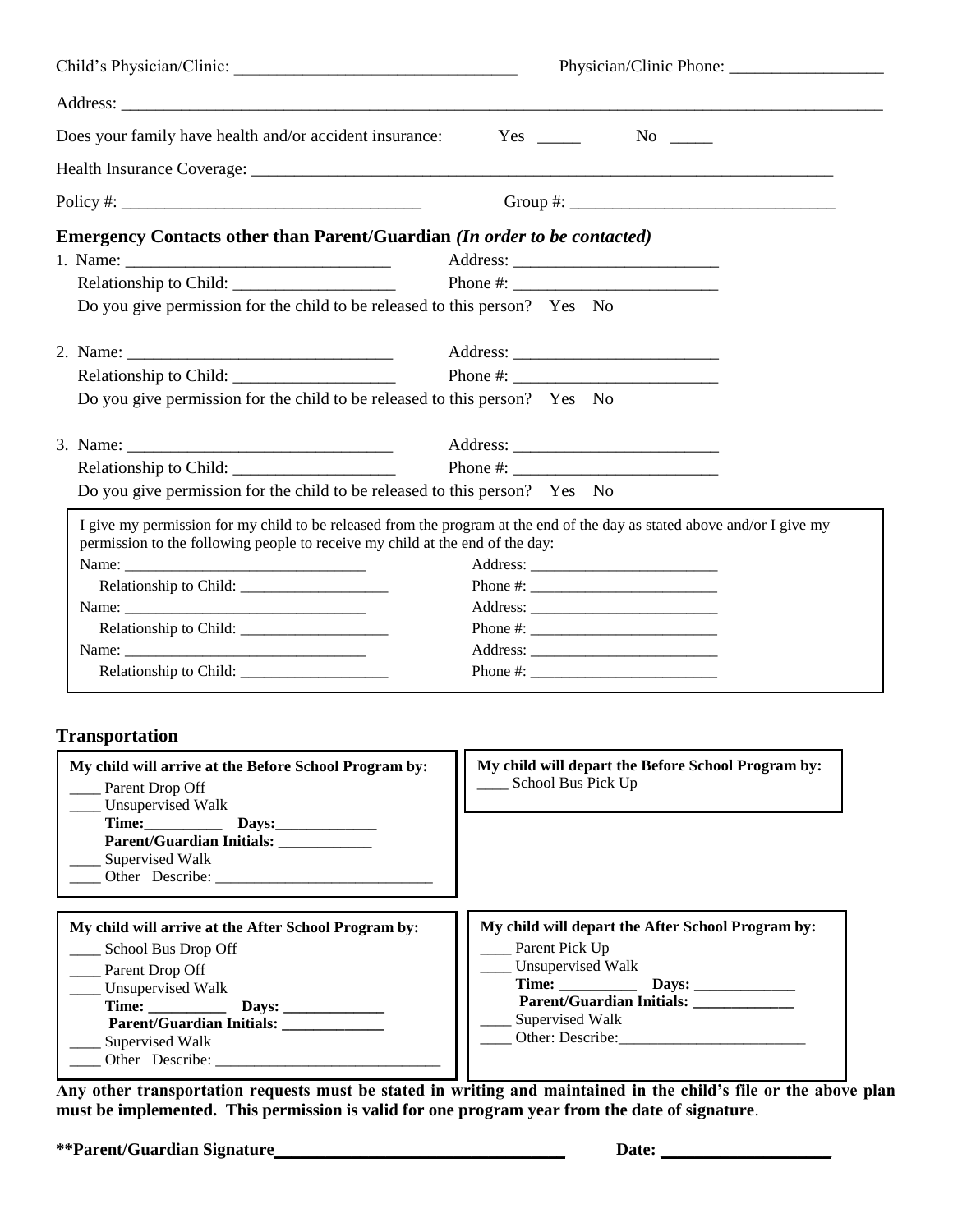| Child's Physician/Clinic:                                                                                                                                                                                          |                                                                                                                                                                                     |
|--------------------------------------------------------------------------------------------------------------------------------------------------------------------------------------------------------------------|-------------------------------------------------------------------------------------------------------------------------------------------------------------------------------------|
|                                                                                                                                                                                                                    |                                                                                                                                                                                     |
| Does your family have health and/or accident insurance:                                                                                                                                                            | $Yes \_$<br>$No \_$                                                                                                                                                                 |
|                                                                                                                                                                                                                    |                                                                                                                                                                                     |
| Policy #: $\qquad \qquad$                                                                                                                                                                                          |                                                                                                                                                                                     |
| Emergency Contacts other than Parent/Guardian (In order to be contacted)<br>Do you give permission for the child to be released to this person? Yes No                                                             |                                                                                                                                                                                     |
| Do you give permission for the child to be released to this person? Yes No                                                                                                                                         |                                                                                                                                                                                     |
| Do you give permission for the child to be released to this person? Yes No                                                                                                                                         |                                                                                                                                                                                     |
| I give my permission for my child to be released from the program at the end of the day as stated above and/or I give my<br>permission to the following people to receive my child at the end of the day:<br>Name: |                                                                                                                                                                                     |
| <b>Transportation</b>                                                                                                                                                                                              |                                                                                                                                                                                     |
| My child will arrive at the Before School Program by:<br>_____ Parent Drop Off<br>__ Unsupervised Walk<br>Supervised Walk                                                                                          | My child will depart the Before School Program by:<br>School Bus Pick Up                                                                                                            |
| My child will arrive at the After School Program by:<br>___ School Bus Drop Off<br>Parent Drop Off<br>__ Unsupervised Walk<br>Time:<br>Parent/Guardian Initials: ___________<br>Supervised Walk<br>Other Describe: | My child will depart the After School Program by:<br>__ Parent Pick Up<br><b>Unsupervised Walk</b><br>Parent/Guardian Initials: ____________<br>Supervised Walk<br>Other: Describe: |

**Any other transportation requests must be stated in writing and maintained in the child's file or the above plan must be implemented. This permission is valid for one program year from the date of signature**.

**\*\*Parent/Guardian Signature\_\_\_\_\_\_\_\_\_\_\_\_\_\_\_\_\_\_\_\_\_\_\_\_\_\_\_\_\_\_\_\_\_\_ Date: \_\_\_\_\_\_\_\_\_\_\_\_\_\_\_\_\_\_\_\_**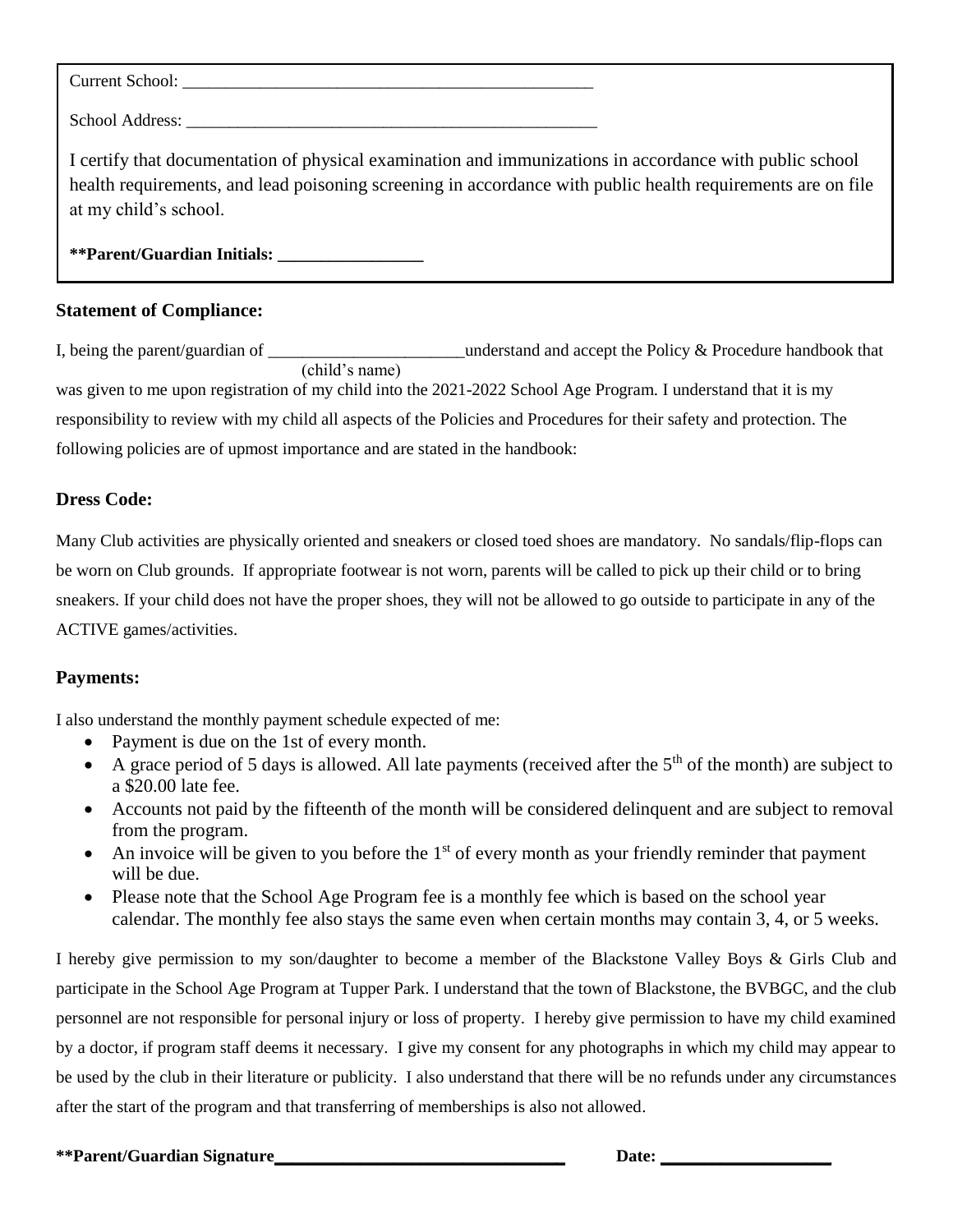Current School:

School Address:

I certify that documentation of physical examination and immunizations in accordance with public school health requirements, and lead poisoning screening in accordance with public health requirements are on file at my child's school.

**\*\*Parent/Guardian Initials: \_\_\_\_\_\_\_\_\_\_\_\_\_\_\_\_\_**

## **Statement of Compliance:**

I, being the parent/guardian of \_\_\_\_\_\_\_\_\_\_\_\_\_\_\_\_\_\_\_\_\_\_\_\_understand and accept the Policy & Procedure handbook that (child's name) was given to me upon registration of my child into the 2021-2022 School Age Program. I understand that it is my responsibility to review with my child all aspects of the Policies and Procedures for their safety and protection. The following policies are of upmost importance and are stated in the handbook:

### **Dress Code:**

Many Club activities are physically oriented and sneakers or closed toed shoes are mandatory. No sandals/flip-flops can be worn on Club grounds. If appropriate footwear is not worn, parents will be called to pick up their child or to bring sneakers. If your child does not have the proper shoes, they will not be allowed to go outside to participate in any of the ACTIVE games/activities.

## **Payments:**

I also understand the monthly payment schedule expected of me:

- Payment is due on the 1st of every month.
- A grace period of 5 days is allowed. All late payments (received after the  $5<sup>th</sup>$  of the month) are subject to a \$20.00 late fee.
- Accounts not paid by the fifteenth of the month will be considered delinquent and are subject to removal from the program.
- An invoice will be given to you before the  $1<sup>st</sup>$  of every month as your friendly reminder that payment will be due.
- Please note that the School Age Program fee is a monthly fee which is based on the school year calendar. The monthly fee also stays the same even when certain months may contain 3, 4, or 5 weeks.

I hereby give permission to my son/daughter to become a member of the Blackstone Valley Boys & Girls Club and participate in the School Age Program at Tupper Park. I understand that the town of Blackstone, the BVBGC, and the club personnel are not responsible for personal injury or loss of property. I hereby give permission to have my child examined by a doctor, if program staff deems it necessary. I give my consent for any photographs in which my child may appear to be used by the club in their literature or publicity. I also understand that there will be no refunds under any circumstances after the start of the program and that transferring of memberships is also not allowed.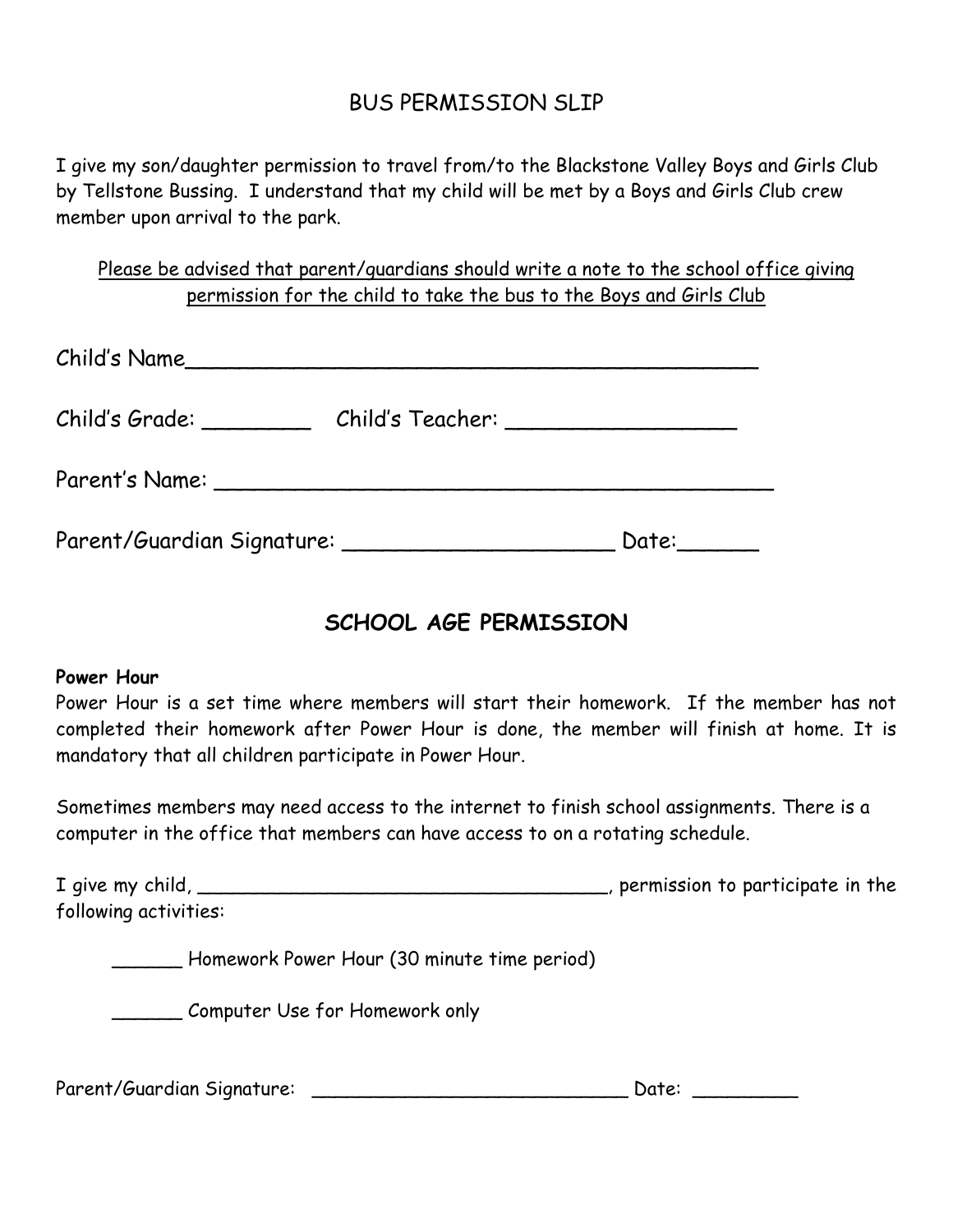## BUS PERMISSION SLIP

I give my son/daughter permission to travel from/to the Blackstone Valley Boys and Girls Club by Tellstone Bussing. I understand that my child will be met by a Boys and Girls Club crew member upon arrival to the park.

Please be advised that parent/guardians should write a note to the school office giving permission for the child to take the bus to the Boys and Girls Club

| Child's Name               |                                      |       |
|----------------------------|--------------------------------------|-------|
| Child's Grade: ________    | Child's Teacher: ___________________ |       |
| Parent's Name:             |                                      |       |
| Parent/Guardian Signature: |                                      | Date: |

# **SCHOOL AGE PERMISSION**

## **Power Hour**

Power Hour is a set time where members will start their homework. If the member has not completed their homework after Power Hour is done, the member will finish at home. It is mandatory that all children participate in Power Hour.

Sometimes members may need access to the internet to finish school assignments. There is a computer in the office that members can have access to on a rotating schedule.

| I give my child,      | , permission to participate in the |
|-----------------------|------------------------------------|
| following activities: |                                    |

\_\_\_\_\_\_ Homework Power Hour (30 minute time period)

\_\_\_\_\_\_ Computer Use for Homework only

Parent/Guardian Signature: \_\_\_\_\_\_\_\_\_\_\_\_\_\_\_\_\_\_\_\_\_\_\_\_\_\_\_ Date: \_\_\_\_\_\_\_\_\_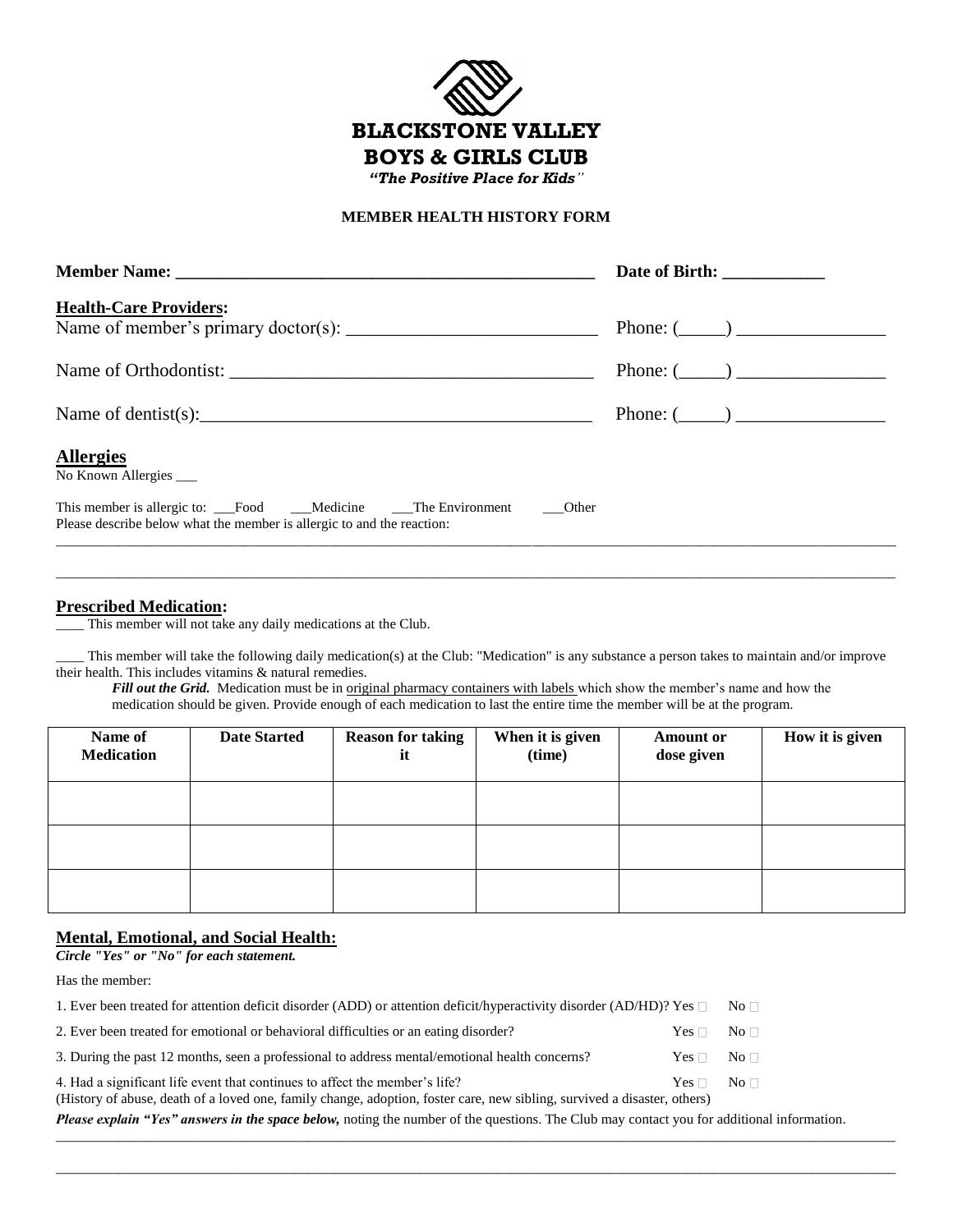

#### **MEMBER HEALTH HISTORY FORM**

| <b>Health-Care Providers:</b>                                                                                                                         |                 |
|-------------------------------------------------------------------------------------------------------------------------------------------------------|-----------------|
|                                                                                                                                                       | Phone: $(\_\_)$ |
|                                                                                                                                                       | Phone: $(\_\_)$ |
| Name of dentist(s): $\frac{1}{2}$                                                                                                                     | Phone: $(\_\_)$ |
| <b>Allergies</b><br>No Known Allergies                                                                                                                |                 |
| This member is allergic to: __Food ___Medicine ___The Environment ____Other<br>Please describe below what the member is allergic to and the reaction: |                 |

#### **Prescribed Medication:**

This member will not take any daily medications at the Club.

\_\_\_\_ This member will take the following daily medication(s) at the Club: "Medication" is any substance a person takes to maintain and/or improve their health. This includes vitamins & natural remedies.

\_\_\_\_\_\_\_\_\_\_\_\_\_\_\_\_\_\_\_\_\_\_\_\_\_\_\_\_\_\_\_\_\_\_\_\_\_\_\_\_\_\_\_\_\_\_\_\_\_\_\_\_\_\_\_\_\_\_\_\_\_\_\_\_\_\_\_\_\_\_\_\_\_\_\_\_\_\_\_\_\_\_\_\_\_\_\_\_\_\_\_\_\_\_\_\_\_\_\_\_\_\_\_\_\_\_\_\_\_\_\_\_\_\_\_\_\_\_\_\_

*Fill out the Grid.* Medication must be in <u>original pharmacy containers with labels</u> which show the member's name and how the medication should be given. Provide enough of each medication to last the entire time the member will be at the program.

| Name of<br><b>Medication</b> | <b>Date Started</b> | <b>Reason for taking</b><br>it | When it is given<br>(time) | <b>Amount or</b><br>dose given | How it is given |
|------------------------------|---------------------|--------------------------------|----------------------------|--------------------------------|-----------------|
|                              |                     |                                |                            |                                |                 |
|                              |                     |                                |                            |                                |                 |
|                              |                     |                                |                            |                                |                 |

#### **Mental, Emotional, and Social Health:**

*Circle "Yes" or "No" for each statement.* 

Has the member:

| 1. Ever been treated for attention deficit disorder (ADD) or attention deficit/hyperactivity disorder (AD/HD)? Yes                                                                                      |                      | $\overline{\text{No}}$ $\Box$ |
|---------------------------------------------------------------------------------------------------------------------------------------------------------------------------------------------------------|----------------------|-------------------------------|
| 2. Ever been treated for emotional or behavioral difficulties or an eating disorder?                                                                                                                    | $Yes \Box No \Box$   |                               |
| 3. During the past 12 months, seen a professional to address mental/emotional health concerns?                                                                                                          | $Yes \Box No \Box$   |                               |
| 4. Had a significant life event that continues to affect the member's life?<br>(History of abuse, death of a loved one, family change, adoption, foster care, new sibling, survived a disaster, others) | $Yes \Box \ No \Box$ |                               |

*Please explain "Yes" answers in the space below,* noting the number of the questions. The Club may contact you for additional information.

\_\_\_\_\_\_\_\_\_\_\_\_\_\_\_\_\_\_\_\_\_\_\_\_\_\_\_\_\_\_\_\_\_\_\_\_\_\_\_\_\_\_\_\_\_\_\_\_\_\_\_\_\_\_\_\_\_\_\_\_\_\_\_\_\_\_\_\_\_\_\_\_\_\_\_\_\_\_\_\_\_\_\_\_\_\_\_\_\_\_\_\_\_\_\_\_\_\_\_\_\_\_\_\_\_\_\_\_\_\_\_\_\_\_\_\_\_\_\_\_

\_\_\_\_\_\_\_\_\_\_\_\_\_\_\_\_\_\_\_\_\_\_\_\_\_\_\_\_\_\_\_\_\_\_\_\_\_\_\_\_\_\_\_\_\_\_\_\_\_\_\_\_\_\_\_\_\_\_\_\_\_\_\_\_\_\_\_\_\_\_\_\_\_\_\_\_\_\_\_\_\_\_\_\_\_\_\_\_\_\_\_\_\_\_\_\_\_\_\_\_\_\_\_\_\_\_\_\_\_\_\_\_\_\_\_\_\_\_\_\_